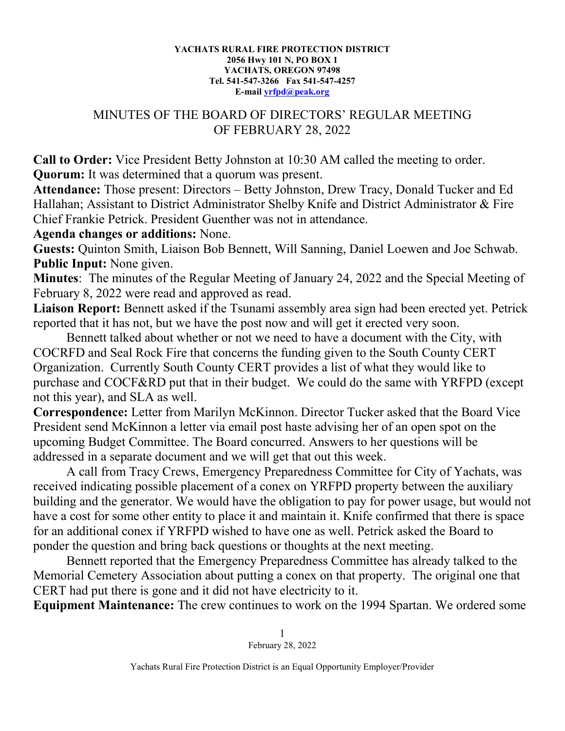## **YACHATS RURAL FIRE PROTECTION DISTRICT 2056 Hwy 101 N, PO BOX 1 YACHATS, OREGON 97498 Tel. 541-547-3266 Fax 541-547-4257 E-mail [yrfpd@peak.org](mailto:yrfpd@peak.org)**

## MINUTES OF THE BOARD OF DIRECTORS' REGULAR MEETING OF FEBRUARY 28, 2022

**Call to Order:** Vice President Betty Johnston at 10:30 AM called the meeting to order. **Quorum:** It was determined that a quorum was present.

**Attendance:** Those present: Directors – Betty Johnston, Drew Tracy, Donald Tucker and Ed Hallahan; Assistant to District Administrator Shelby Knife and District Administrator & Fire Chief Frankie Petrick. President Guenther was not in attendance.

## **Agenda changes or additions:** None.

**Guests:** Quinton Smith, Liaison Bob Bennett, Will Sanning, Daniel Loewen and Joe Schwab. **Public Input:** None given.

**Minutes**: The minutes of the Regular Meeting of January 24, 2022 and the Special Meeting of February 8, 2022 were read and approved as read.

**Liaison Report:** Bennett asked if the Tsunami assembly area sign had been erected yet. Petrick reported that it has not, but we have the post now and will get it erected very soon.

Bennett talked about whether or not we need to have a document with the City, with COCRFD and Seal Rock Fire that concerns the funding given to the South County CERT Organization. Currently South County CERT provides a list of what they would like to purchase and COCF&RD put that in their budget. We could do the same with YRFPD (except not this year), and SLA as well.

**Correspondence:** Letter from Marilyn McKinnon. Director Tucker asked that the Board Vice President send McKinnon a letter via email post haste advising her of an open spot on the upcoming Budget Committee. The Board concurred. Answers to her questions will be addressed in a separate document and we will get that out this week.

A call from Tracy Crews, Emergency Preparedness Committee for City of Yachats, was received indicating possible placement of a conex on YRFPD property between the auxiliary building and the generator. We would have the obligation to pay for power usage, but would not have a cost for some other entity to place it and maintain it. Knife confirmed that there is space for an additional conex if YRFPD wished to have one as well. Petrick asked the Board to ponder the question and bring back questions or thoughts at the next meeting.

Bennett reported that the Emergency Preparedness Committee has already talked to the Memorial Cemetery Association about putting a conex on that property. The original one that CERT had put there is gone and it did not have electricity to it.

**Equipment Maintenance:** The crew continues to work on the 1994 Spartan. We ordered some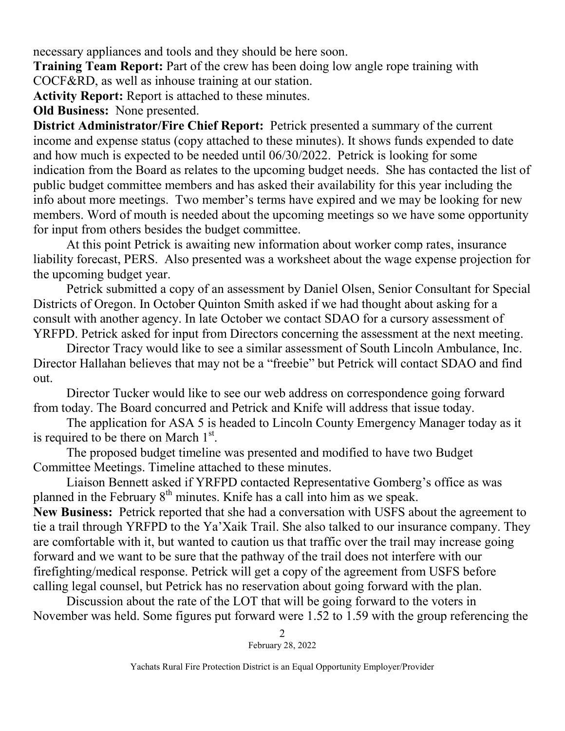necessary appliances and tools and they should be here soon.

**Training Team Report:** Part of the crew has been doing low angle rope training with COCF&RD, as well as inhouse training at our station.

**Activity Report:** Report is attached to these minutes.

**Old Business:** None presented.

**District Administrator/Fire Chief Report:** Petrick presented a summary of the current income and expense status (copy attached to these minutes). It shows funds expended to date and how much is expected to be needed until 06/30/2022. Petrick is looking for some indication from the Board as relates to the upcoming budget needs. She has contacted the list of public budget committee members and has asked their availability for this year including the info about more meetings. Two member's terms have expired and we may be looking for new members. Word of mouth is needed about the upcoming meetings so we have some opportunity for input from others besides the budget committee.

At this point Petrick is awaiting new information about worker comp rates, insurance liability forecast, PERS. Also presented was a worksheet about the wage expense projection for the upcoming budget year.

Petrick submitted a copy of an assessment by Daniel Olsen, Senior Consultant for Special Districts of Oregon. In October Quinton Smith asked if we had thought about asking for a consult with another agency. In late October we contact SDAO for a cursory assessment of YRFPD. Petrick asked for input from Directors concerning the assessment at the next meeting.

Director Tracy would like to see a similar assessment of South Lincoln Ambulance, Inc. Director Hallahan believes that may not be a "freebie" but Petrick will contact SDAO and find out.

Director Tucker would like to see our web address on correspondence going forward from today. The Board concurred and Petrick and Knife will address that issue today.

The application for ASA 5 is headed to Lincoln County Emergency Manager today as it is required to be there on March  $1<sup>st</sup>$ .

The proposed budget timeline was presented and modified to have two Budget Committee Meetings. Timeline attached to these minutes.

Liaison Bennett asked if YRFPD contacted Representative Gomberg's office as was planned in the February  $8<sup>th</sup>$  minutes. Knife has a call into him as we speak.

**New Business:** Petrick reported that she had a conversation with USFS about the agreement to tie a trail through YRFPD to the Ya'Xaik Trail. She also talked to our insurance company. They are comfortable with it, but wanted to caution us that traffic over the trail may increase going forward and we want to be sure that the pathway of the trail does not interfere with our firefighting/medical response. Petrick will get a copy of the agreement from USFS before calling legal counsel, but Petrick has no reservation about going forward with the plan.

Discussion about the rate of the LOT that will be going forward to the voters in November was held. Some figures put forward were 1.52 to 1.59 with the group referencing the

> 2 February 28, 2022